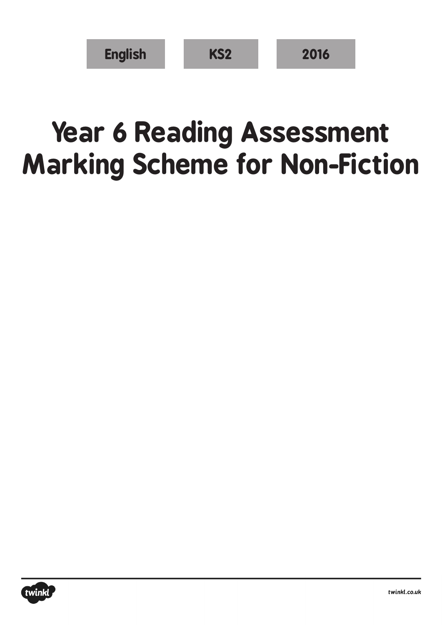| <b>English</b> | <b>KS2</b> | 2016 |
|----------------|------------|------|
|----------------|------------|------|

## **Year 6 Reading Assessment Marking Scheme for Non-Fiction**

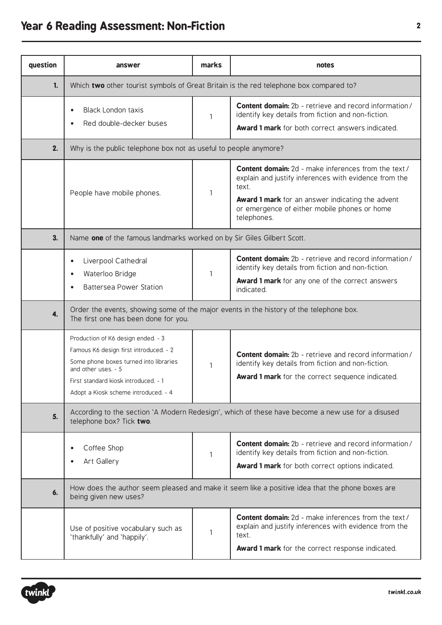## **Year 6 Reading Assessment: Non-Fiction <sup>2</sup>**

| question | answer                                                                                                                                                                                                                        | marks        | notes                                                                                                                                                                                                                                            |  |
|----------|-------------------------------------------------------------------------------------------------------------------------------------------------------------------------------------------------------------------------------|--------------|--------------------------------------------------------------------------------------------------------------------------------------------------------------------------------------------------------------------------------------------------|--|
| 1.       | Which two other tourist symbols of Great Britain is the red telephone box compared to?                                                                                                                                        |              |                                                                                                                                                                                                                                                  |  |
|          | <b>Black London taxis</b><br>Red double-decker buses                                                                                                                                                                          | $\mathbf{1}$ | <b>Content domain:</b> 2b - retrieve and record information/<br>identify key details from fiction and non-fiction.<br><b>Award 1 mark</b> for both correct answers indicated.                                                                    |  |
| 2.       | Why is the public telephone box not as useful to people anymore?                                                                                                                                                              |              |                                                                                                                                                                                                                                                  |  |
|          | People have mobile phones.                                                                                                                                                                                                    | 1            | <b>Content domain:</b> 2d - make inferences from the text /<br>explain and justify inferences with evidence from the<br>text.<br>Award 1 mark for an answer indicating the advent<br>or emergence of either mobile phones or home<br>telephones. |  |
| 3.       | Name one of the famous landmarks worked on by Sir Giles Gilbert Scott.                                                                                                                                                        |              |                                                                                                                                                                                                                                                  |  |
|          | Liverpool Cathedral<br>$\bullet$<br>Waterloo Bridge<br>$\bullet$<br><b>Battersea Power Station</b>                                                                                                                            | 1            | <b>Content domain:</b> 2b - retrieve and record information/<br>identify key details from fiction and non-fiction.<br><b>Award 1 mark</b> for any one of the correct answers<br>indicated.                                                       |  |
| 4.       | Order the events, showing some of the major events in the history of the telephone box.<br>The first one has been done for you.                                                                                               |              |                                                                                                                                                                                                                                                  |  |
|          | Production of K6 design ended. - 3<br>Famous K6 design first introduced. - 2<br>Some phone boxes turned into libraries<br>and other uses. - 5<br>First standard kiosk introduced. - 1<br>Adopt a Kiosk scheme introduced. - 4 | 1            | <b>Content domain:</b> 2b - retrieve and record information/<br>identify key details from fiction and non-fiction.<br><b>Award 1 mark</b> for the correct sequence indicated.                                                                    |  |
| 5.       | According to the section 'A Modern Redesign', which of these have become a new use for a disused<br>telephone box? Tick two.                                                                                                  |              |                                                                                                                                                                                                                                                  |  |
|          | Coffee Shop<br>Art Gallery                                                                                                                                                                                                    | 1            | <b>Content domain:</b> 2b - retrieve and record information/<br>identify key details from fiction and non-fiction.<br>Award 1 mark for both correct options indicated.                                                                           |  |
| 6.       | How does the author seem pleased and make it seem like a positive idea that the phone boxes are<br>being given new uses?                                                                                                      |              |                                                                                                                                                                                                                                                  |  |
|          | Use of positive vocabulary such as<br>'thankfully' and 'happily'.                                                                                                                                                             | 1            | <b>Content domain:</b> 2d - make inferences from the text /<br>explain and justify inferences with evidence from the<br>text.<br>Award 1 mark for the correct response indicated.                                                                |  |

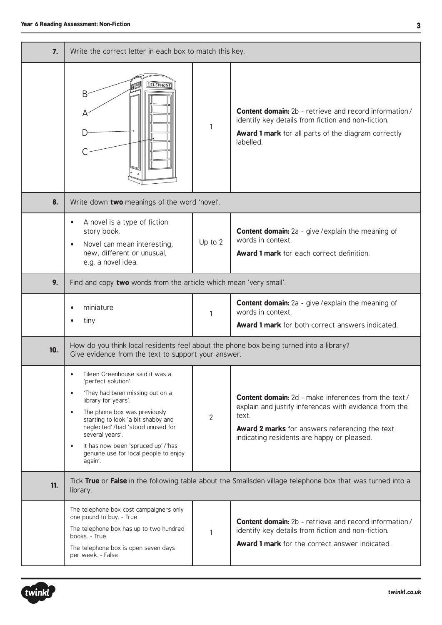| 7.  | Write the correct letter in each box to match this key.                                                                                                                                                                                                                                                                                                                        |                |                                                                                                                                                                                                                                      |
|-----|--------------------------------------------------------------------------------------------------------------------------------------------------------------------------------------------------------------------------------------------------------------------------------------------------------------------------------------------------------------------------------|----------------|--------------------------------------------------------------------------------------------------------------------------------------------------------------------------------------------------------------------------------------|
|     | <b>TELEPHONE</b><br>Β                                                                                                                                                                                                                                                                                                                                                          | $\mathbf{1}$   | <b>Content domain:</b> 2b - retrieve and record information/<br>identify key details from fiction and non-fiction.<br>Award 1 mark for all parts of the diagram correctly<br>labelled.                                               |
| 8.  | Write down two meanings of the word 'novel'.                                                                                                                                                                                                                                                                                                                                   |                |                                                                                                                                                                                                                                      |
|     | A novel is a type of fiction<br>story book.<br>Novel can mean interesting,<br>new, different or unusual,<br>e.g. a novel idea.                                                                                                                                                                                                                                                 | Up to 2        | <b>Content domain:</b> 2a - give / explain the meaning of<br>words in context.<br><b>Award 1 mark</b> for each correct definition.                                                                                                   |
| 9.  | Find and copy two words from the article which mean 'very small'.                                                                                                                                                                                                                                                                                                              |                |                                                                                                                                                                                                                                      |
|     | miniature<br>tiny                                                                                                                                                                                                                                                                                                                                                              | $\mathbf{1}$   | <b>Content domain:</b> 2a - give / explain the meaning of<br>words in context.<br>Award 1 mark for both correct answers indicated.                                                                                                   |
| 10. | How do you think local residents feel about the phone box being turned into a library?<br>Give evidence from the text to support your answer.                                                                                                                                                                                                                                  |                |                                                                                                                                                                                                                                      |
|     | Eileen Greenhouse said it was a<br>'perfect solution'.<br>'They had been missing out on a<br>$\bullet$<br>library for years'.<br>The phone box was previously<br>$\bullet$<br>starting to look 'a bit shabby and<br>neglected' /had 'stood unused for<br>several years'.<br>It has now been 'spruced up'/'has<br>$\bullet$<br>genuine use for local people to enjoy<br>again'. | $\overline{2}$ | <b>Content domain:</b> 2d - make inferences from the text /<br>explain and justify inferences with evidence from the<br>text.<br><b>Award 2 marks</b> for answers referencing the text<br>indicating residents are happy or pleased. |
| 11. | Tick True or False in the following table about the Smallsden village telephone box that was turned into a<br>library.                                                                                                                                                                                                                                                         |                |                                                                                                                                                                                                                                      |
|     | The telephone box cost campaigners only<br>one pound to buy. - True<br>The telephone box has up to two hundred<br>books. - True<br>The telephone box is open seven days<br>per week. - False                                                                                                                                                                                   | $\mathbf{1}$   | <b>Content domain:</b> 2b - retrieve and record information/<br>identify key details from fiction and non-fiction.<br>Award 1 mark for the correct answer indicated.                                                                 |